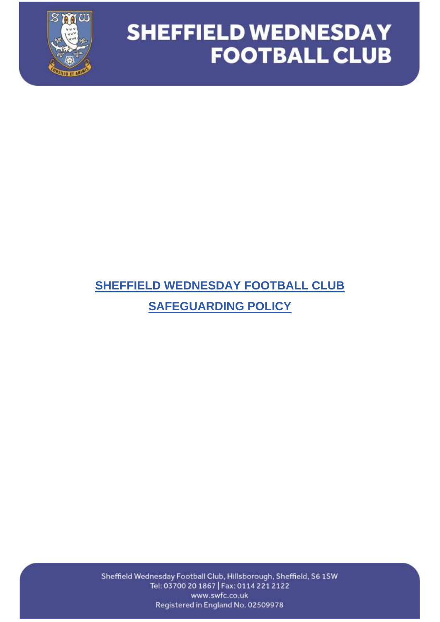

### **SHEFFIELD WEDNESDAY FOOTBALL CLUB SAFEGUARDING POLICY**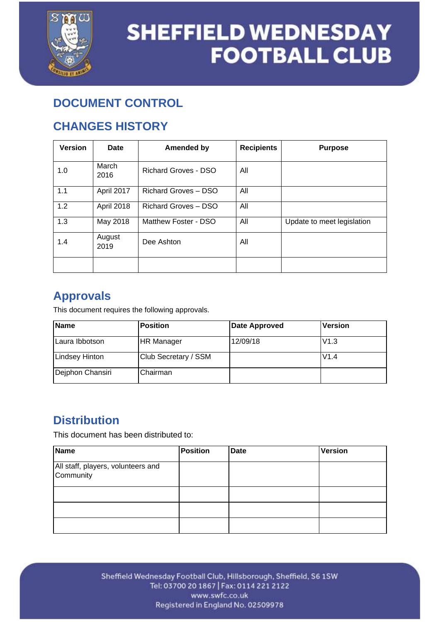

### **DOCUMENT CONTROL**

### **CHANGES HISTORY**

| <b>Version</b> | Date           | <b>Amended by</b>           | <b>Recipients</b> | <b>Purpose</b>             |
|----------------|----------------|-----------------------------|-------------------|----------------------------|
| 1.0            | March<br>2016  | <b>Richard Groves - DSO</b> | All               |                            |
| 1.1            | April 2017     | <b>Richard Groves - DSO</b> | All               |                            |
| 1.2            | April 2018     | <b>Richard Groves - DSO</b> | All               |                            |
| 1.3            | May 2018       | Matthew Foster - DSO        | All               | Update to meet legislation |
| 1.4            | August<br>2019 | Dee Ashton                  | All               |                            |
|                |                |                             |                   |                            |

### **Approvals**

This document requires the following approvals.

| Name                  | <b>Position</b>      | <b>Date Approved</b> | <b>Version</b> |
|-----------------------|----------------------|----------------------|----------------|
| ILaura Ibbotson       | HR Manager           | 12/09/18             | V1.3           |
| <b>Lindsey Hinton</b> | Club Secretary / SSM |                      | V1.4           |
| Dejphon Chansiri      | Chairman             |                      |                |

### **Distribution**

This document has been distributed to:

| <b>Name</b>                                     | <b>Position</b> | <b>Date</b> | <b>Version</b> |
|-------------------------------------------------|-----------------|-------------|----------------|
| All staff, players, volunteers and<br>Community |                 |             |                |
|                                                 |                 |             |                |
|                                                 |                 |             |                |
|                                                 |                 |             |                |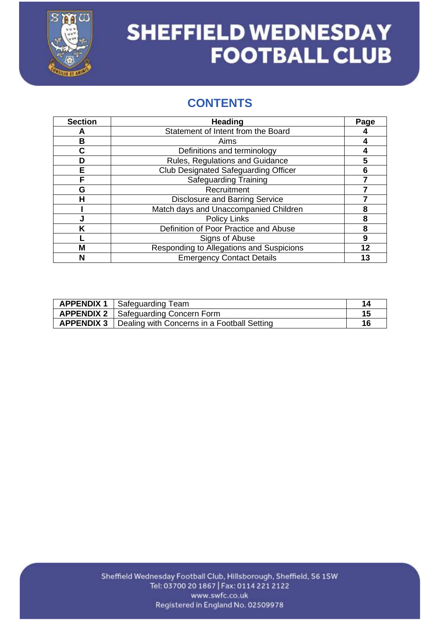

### **CONTENTS**

| <b>Section</b> | <b>Heading</b>                              | Page |
|----------------|---------------------------------------------|------|
| А              | Statement of Intent from the Board          |      |
| в              | Aims                                        |      |
| С              | Definitions and terminology                 |      |
| D              | Rules, Regulations and Guidance             | 5    |
| E              | <b>Club Designated Safeguarding Officer</b> | 6    |
| F              | <b>Safeguarding Training</b>                |      |
| G              | Recruitment                                 |      |
| н              | <b>Disclosure and Barring Service</b>       |      |
|                | Match days and Unaccompanied Children       | 8    |
|                | <b>Policy Links</b>                         | 8    |
| K              | Definition of Poor Practice and Abuse       | 8    |
|                | Signs of Abuse                              | 9    |
| М              | Responding to Allegations and Suspicions    | 12   |
| N              | <b>Emergency Contact Details</b>            | 13   |

| <b>APPENDIX 1</b> Safeguarding Team                             |    |
|-----------------------------------------------------------------|----|
| <b>APPENDIX 2</b>   Safeguarding Concern Form                   | 15 |
| <b>APPENDIX 3</b>   Dealing with Concerns in a Football Setting | 16 |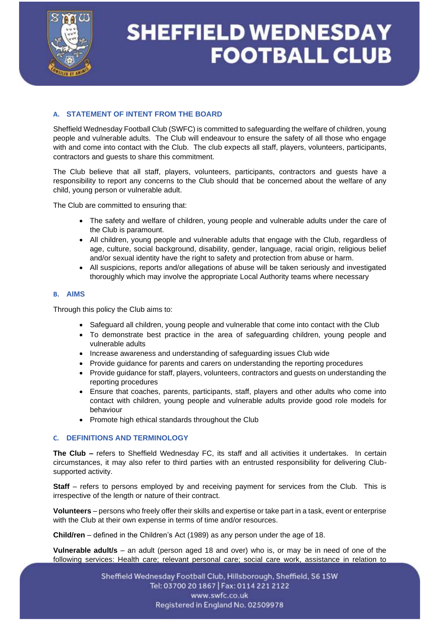

### **A. STATEMENT OF INTENT FROM THE BOARD**

Sheffield Wednesday Football Club (SWFC) is committed to safeguarding the welfare of children, young people and vulnerable adults. The Club will endeavour to ensure the safety of all those who engage with and come into contact with the Club. The club expects all staff, players, volunteers, participants, contractors and guests to share this commitment.

The Club believe that all staff, players, volunteers, participants, contractors and guests have a responsibility to report any concerns to the Club should that be concerned about the welfare of any child, young person or vulnerable adult.

The Club are committed to ensuring that:

- The safety and welfare of children, young people and vulnerable adults under the care of the Club is paramount.
- All children, young people and vulnerable adults that engage with the Club, regardless of age, culture, social background, disability, gender, language, racial origin, religious belief and/or sexual identity have the right to safety and protection from abuse or harm.
- All suspicions, reports and/or allegations of abuse will be taken seriously and investigated thoroughly which may involve the appropriate Local Authority teams where necessary

#### **B. AIMS**

Through this policy the Club aims to:

- Safeguard all children, young people and vulnerable that come into contact with the Club
- To demonstrate best practice in the area of safeguarding children, young people and vulnerable adults
- Increase awareness and understanding of safeguarding issues Club wide
- Provide guidance for parents and carers on understanding the reporting procedures
- Provide guidance for staff, players, volunteers, contractors and guests on understanding the reporting procedures
- Ensure that coaches, parents, participants, staff, players and other adults who come into contact with children, young people and vulnerable adults provide good role models for behaviour
- Promote high ethical standards throughout the Club

#### **C. DEFINITIONS AND TERMINOLOGY**

**The Club –** refers to Sheffield Wednesday FC, its staff and all activities it undertakes. In certain circumstances, it may also refer to third parties with an entrusted responsibility for delivering Clubsupported activity.

**Staff** – refers to persons employed by and receiving payment for services from the Club. This is irrespective of the length or nature of their contract.

**Volunteers** – persons who freely offer their skills and expertise or take part in a task, event or enterprise with the Club at their own expense in terms of time and/or resources.

**Child/ren** – defined in the Children's Act (1989) as any person under the age of 18.

**Vulnerable adult/s** – an adult (person aged 18 and over) who is, or may be in need of one of the following services: Health care; relevant personal care; social care work, assistance in relation to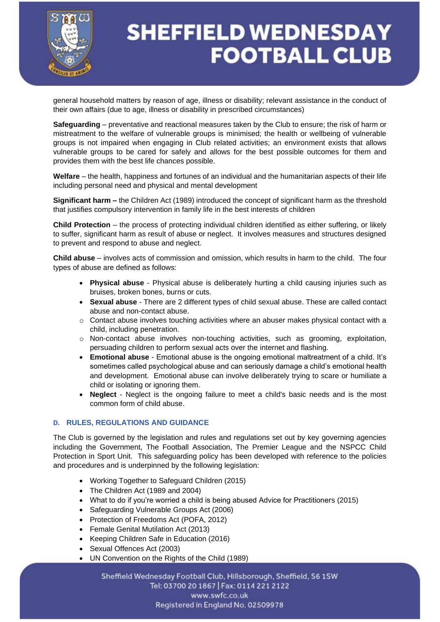

general household matters by reason of age, illness or disability; relevant assistance in the conduct of their own affairs (due to age, illness or disability in prescribed circumstances)

**Safeguarding** – preventative and reactional measures taken by the Club to ensure; the risk of harm or mistreatment to the welfare of vulnerable groups is minimised; the health or wellbeing of vulnerable groups is not impaired when engaging in Club related activities; an environment exists that allows vulnerable groups to be cared for safely and allows for the best possible outcomes for them and provides them with the best life chances possible.

**Welfare** – the health, happiness and fortunes of an individual and the humanitarian aspects of their life including personal need and physical and mental development

**Significant harm –** the Children Act (1989) introduced the concept of significant harm as the threshold that justifies compulsory intervention in family life in the best interests of children

**Child Protection** – the process of protecting individual children identified as either suffering, or likely to suffer, significant harm as result of abuse or neglect. It involves measures and structures designed to prevent and respond to abuse and neglect.

**Child abuse** – involves acts of commission and omission, which results in harm to the child. The four types of abuse are defined as follows:

- **Physical abuse** Physical abuse is deliberately hurting a child causing injuries such as bruises, broken bones, burns or cuts.
- **Sexual abuse** There are 2 different types of child sexual abuse. These are called contact abuse and non-contact abuse.
- $\circ$  Contact abuse involves touching activities where an abuser makes physical contact with a child, including penetration.
- o Non-contact abuse involves non-touching activities, such as grooming, exploitation, persuading children to perform sexual acts over the internet and flashing.
- **Emotional abuse** Emotional abuse is the ongoing emotional maltreatment of a child. It's sometimes called psychological abuse and can seriously damage a child's emotional health and development. Emotional abuse can involve deliberately trying to scare or humiliate a child or isolating or ignoring them.
- **Neglect** Neglect is the ongoing failure to meet a child's basic needs and is the most common form of child abuse.

#### **D. RULES, REGULATIONS AND GUIDANCE**

The Club is governed by the legislation and rules and regulations set out by key governing agencies including the Government, The Football Association, The Premier League and the NSPCC Child Protection in Sport Unit. This safeguarding policy has been developed with reference to the policies and procedures and is underpinned by the following legislation:

- Working Together to Safeguard Children (2015)
- The Children Act (1989 and 2004)
- What to do if you're worried a child is being abused Advice for Practitioners (2015)
- Safeguarding Vulnerable Groups Act (2006)
- Protection of Freedoms Act (POFA, 2012)
- Female Genital Mutilation Act (2013)
- Keeping Children Safe in Education (2016)
- Sexual Offences Act (2003)
- UN Convention on the Rights of the Child (1989)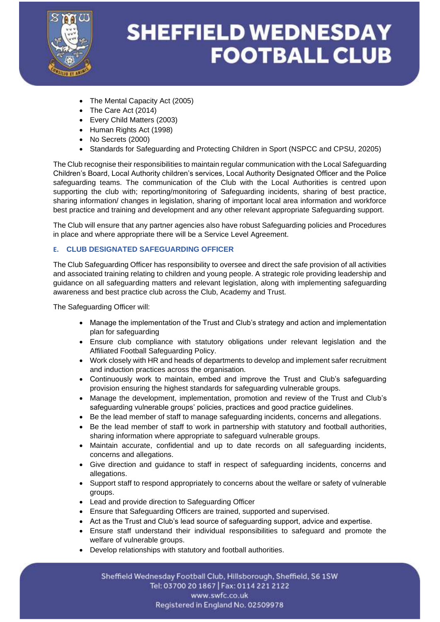

- The Mental Capacity Act (2005)
- The Care Act (2014)
- Every Child Matters (2003)
- Human Rights Act (1998)
- No Secrets (2000)
- Standards for Safeguarding and Protecting Children in Sport (NSPCC and CPSU, 20205)

The Club recognise their responsibilities to maintain regular communication with the Local Safeguarding Children's Board, Local Authority children's services, Local Authority Designated Officer and the Police safeguarding teams. The communication of the Club with the Local Authorities is centred upon supporting the club with; reporting/monitoring of Safeguarding incidents, sharing of best practice, sharing information/ changes in legislation, sharing of important local area information and workforce best practice and training and development and any other relevant appropriate Safeguarding support.

The Club will ensure that any partner agencies also have robust Safeguarding policies and Procedures in place and where appropriate there will be a Service Level Agreement.

#### **E. CLUB DESIGNATED SAFEGUARDING OFFICER**

The Club Safeguarding Officer has responsibility to oversee and direct the safe provision of all activities and associated training relating to children and young people. A strategic role providing leadership and guidance on all safeguarding matters and relevant legislation, along with implementing safeguarding awareness and best practice club across the Club, Academy and Trust.

The Safeguarding Officer will:

- Manage the implementation of the Trust and Club's strategy and action and implementation plan for safeguarding
- Ensure club compliance with statutory obligations under relevant legislation and the Affiliated Football Safeguarding Policy.
- Work closely with HR and heads of departments to develop and implement safer recruitment and induction practices across the organisation.
- Continuously work to maintain, embed and improve the Trust and Club's safeguarding provision ensuring the highest standards for safeguarding vulnerable groups.
- Manage the development, implementation, promotion and review of the Trust and Club's safeguarding vulnerable groups' policies, practices and good practice guidelines.
- Be the lead member of staff to manage safeguarding incidents, concerns and allegations.
- Be the lead member of staff to work in partnership with statutory and football authorities, sharing information where appropriate to safeguard vulnerable groups.
- Maintain accurate, confidential and up to date records on all safeguarding incidents, concerns and allegations.
- Give direction and guidance to staff in respect of safeguarding incidents, concerns and allegations.
- Support staff to respond appropriately to concerns about the welfare or safety of vulnerable groups.
- Lead and provide direction to Safeguarding Officer
- Ensure that Safeguarding Officers are trained, supported and supervised.
- Act as the Trust and Club's lead source of safeguarding support, advice and expertise.
- Ensure staff understand their individual responsibilities to safeguard and promote the welfare of vulnerable groups.
- Develop relationships with statutory and football authorities.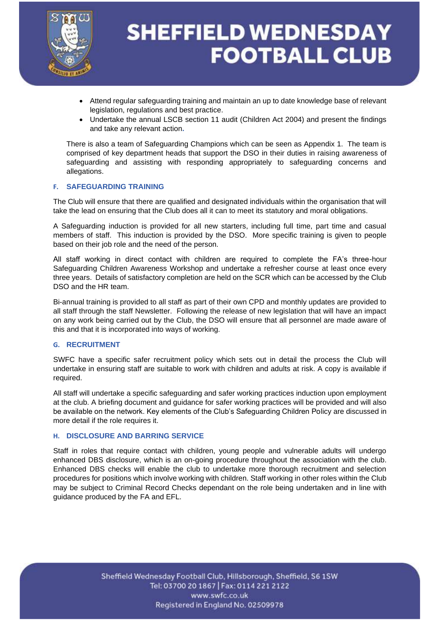

- Attend regular safeguarding training and maintain an up to date knowledge base of relevant legislation, regulations and best practice.
- Undertake the annual LSCB section 11 audit (Children Act 2004) and present the findings and take any relevant action**.**

There is also a team of Safeguarding Champions which can be seen as Appendix 1. The team is comprised of key department heads that support the DSO in their duties in raising awareness of safeguarding and assisting with responding appropriately to safeguarding concerns and allegations.

#### **F. SAFEGUARDING TRAINING**

The Club will ensure that there are qualified and designated individuals within the organisation that will take the lead on ensuring that the Club does all it can to meet its statutory and moral obligations.

A Safeguarding induction is provided for all new starters, including full time, part time and casual members of staff. This induction is provided by the DSO. More specific training is given to people based on their job role and the need of the person.

All staff working in direct contact with children are required to complete the FA's three-hour Safeguarding Children Awareness Workshop and undertake a refresher course at least once every three years. Details of satisfactory completion are held on the SCR which can be accessed by the Club DSO and the HR team.

Bi-annual training is provided to all staff as part of their own CPD and monthly updates are provided to all staff through the staff Newsletter. Following the release of new legislation that will have an impact on any work being carried out by the Club, the DSO will ensure that all personnel are made aware of this and that it is incorporated into ways of working.

#### **G. RECRUITMENT**

SWFC have a specific safer recruitment policy which sets out in detail the process the Club will undertake in ensuring staff are suitable to work with children and adults at risk. A copy is available if required.

All staff will undertake a specific safeguarding and safer working practices induction upon employment at the club. A briefing document and guidance for safer working practices will be provided and will also be available on the network. Key elements of the Club's Safeguarding Children Policy are discussed in more detail if the role requires it.

#### **H. DISCLOSURE AND BARRING SERVICE**

Staff in roles that require contact with children, young people and vulnerable adults will undergo enhanced DBS disclosure, which is an on-going procedure throughout the association with the club. Enhanced DBS checks will enable the club to undertake more thorough recruitment and selection procedures for positions which involve working with children. Staff working in other roles within the Club may be subject to Criminal Record Checks dependant on the role being undertaken and in line with guidance produced by the FA and EFL.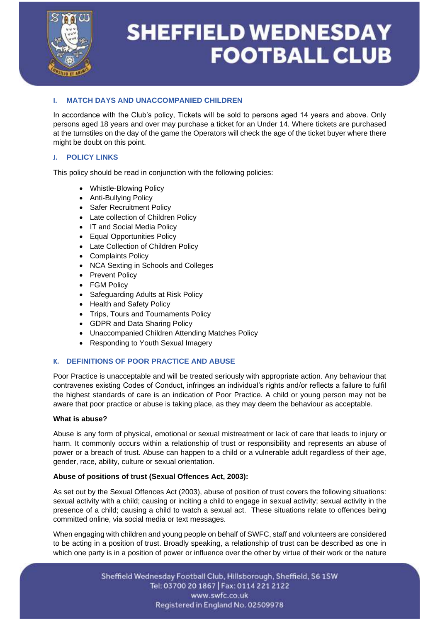

### **I. MATCH DAYS AND UNACCOMPANIED CHILDREN**

In accordance with the Club's policy, Tickets will be sold to persons aged 14 years and above. Only persons aged 18 years and over may purchase a ticket for an Under 14. Where tickets are purchased at the turnstiles on the day of the game the Operators will check the age of the ticket buyer where there might be doubt on this point.

#### **J. POLICY LINKS**

This policy should be read in conjunction with the following policies:

- Whistle-Blowing Policy
- Anti-Bullying Policy
- Safer Recruitment Policy
- Late collection of Children Policy
- IT and Social Media Policy
- Equal Opportunities Policy
- Late Collection of Children Policy
- Complaints Policy
- NCA Sexting in Schools and Colleges
- Prevent Policy
- FGM Policy
- Safeguarding Adults at Risk Policy
- Health and Safety Policy
- Trips, Tours and Tournaments Policy
- GDPR and Data Sharing Policy
- Unaccompanied Children Attending Matches Policy
- Responding to Youth Sexual Imagery

#### **K. DEFINITIONS OF POOR PRACTICE AND ABUSE**

Poor Practice is unacceptable and will be treated seriously with appropriate action. Any behaviour that contravenes existing Codes of Conduct, infringes an individual's rights and/or reflects a failure to fulfil the highest standards of care is an indication of Poor Practice. A child or young person may not be aware that poor practice or abuse is taking place, as they may deem the behaviour as acceptable.

#### **What is abuse?**

Abuse is any form of physical, emotional or sexual mistreatment or lack of care that leads to injury or harm. It commonly occurs within a relationship of trust or responsibility and represents an abuse of power or a breach of trust. Abuse can happen to a child or a vulnerable adult regardless of their age, gender, race, ability, culture or sexual orientation.

#### **Abuse of positions of trust (Sexual Offences Act, 2003):**

As set out by the Sexual Offences Act (2003), abuse of position of trust covers the following situations: sexual activity with a child; causing or inciting a child to engage in sexual activity; sexual activity in the presence of a child; causing a child to watch a sexual act. These situations relate to offences being committed online, via social media or text messages.

When engaging with children and young people on behalf of SWFC, staff and volunteers are considered to be acting in a position of trust. Broadly speaking, a relationship of trust can be described as one in which one party is in a position of power or influence over the other by virtue of their work or the nature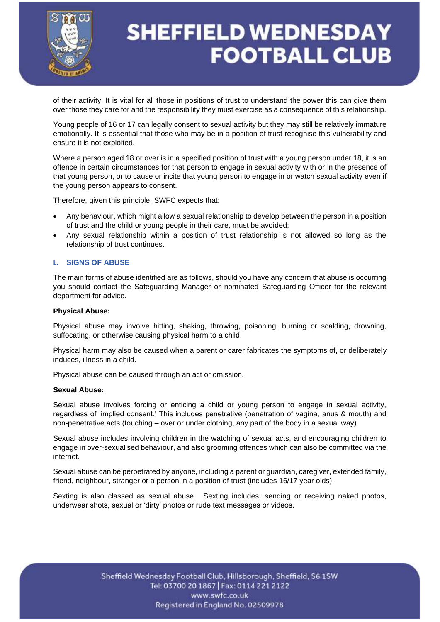

of their activity. It is vital for all those in positions of trust to understand the power this can give them over those they care for and the responsibility they must exercise as a consequence of this relationship.

Young people of 16 or 17 can legally consent to sexual activity but they may still be relatively immature emotionally. It is essential that those who may be in a position of trust recognise this vulnerability and ensure it is not exploited.

Where a person aged 18 or over is in a specified position of trust with a young person under 18, it is an offence in certain circumstances for that person to engage in sexual activity with or in the presence of that young person, or to cause or incite that young person to engage in or watch sexual activity even if the young person appears to consent.

Therefore, given this principle, SWFC expects that:

- Any behaviour, which might allow a sexual relationship to develop between the person in a position of trust and the child or young people in their care, must be avoided;
- Any sexual relationship within a position of trust relationship is not allowed so long as the relationship of trust continues.

#### **L. SIGNS OF ABUSE**

The main forms of abuse identified are as follows, should you have any concern that abuse is occurring you should contact the Safeguarding Manager or nominated Safeguarding Officer for the relevant department for advice.

#### **Physical Abuse:**

Physical abuse may involve hitting, shaking, throwing, poisoning, burning or scalding, drowning, suffocating, or otherwise causing physical harm to a child.

Physical harm may also be caused when a parent or carer fabricates the symptoms of, or deliberately induces, illness in a child.

Physical abuse can be caused through an act or omission.

#### **Sexual Abuse:**

Sexual abuse involves forcing or enticing a child or young person to engage in sexual activity, regardless of 'implied consent.' This includes penetrative (penetration of vagina, anus & mouth) and non-penetrative acts (touching – over or under clothing, any part of the body in a sexual way).

Sexual abuse includes involving children in the watching of sexual acts, and encouraging children to engage in over-sexualised behaviour, and also grooming offences which can also be committed via the internet.

Sexual abuse can be perpetrated by anyone, including a parent or guardian, caregiver, extended family, friend, neighbour, stranger or a person in a position of trust (includes 16/17 year olds).

Sexting is also classed as sexual abuse. Sexting includes: sending or receiving naked photos, underwear shots, sexual or 'dirty' photos or rude text messages or videos.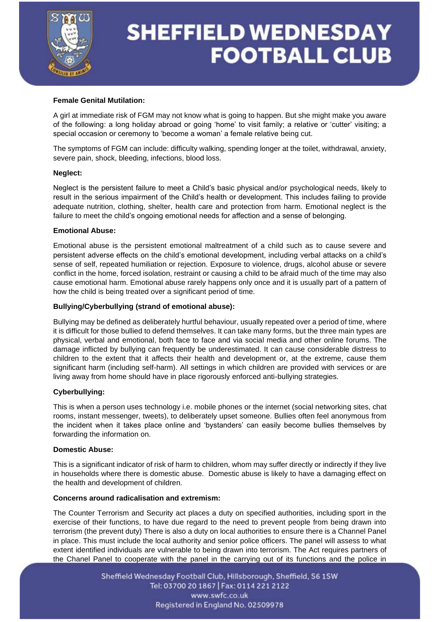

#### **Female Genital Mutilation:**

A girl at immediate risk of FGM may not know what is going to happen. But she might make you aware of the following: a long holiday abroad or going 'home' to visit family; a relative or 'cutter' visiting; a special occasion or ceremony to 'become a woman' a female relative being cut.

The symptoms of FGM can include: difficulty walking, spending longer at the toilet, withdrawal, anxiety, severe pain, shock, bleeding, infections, blood loss.

#### **Neglect:**

Neglect is the persistent failure to meet a Child's basic physical and/or psychological needs, likely to result in the serious impairment of the Child's health or development. This includes failing to provide adequate nutrition, clothing, shelter, health care and protection from harm. Emotional neglect is the failure to meet the child's ongoing emotional needs for affection and a sense of belonging.

#### **Emotional Abuse:**

Emotional abuse is the persistent emotional maltreatment of a child such as to cause severe and persistent adverse effects on the child's emotional development, including verbal attacks on a child's sense of self, repeated humiliation or rejection. Exposure to violence, drugs, alcohol abuse or severe conflict in the home, forced isolation, restraint or causing a child to be afraid much of the time may also cause emotional harm. Emotional abuse rarely happens only once and it is usually part of a pattern of how the child is being treated over a significant period of time.

#### **Bullying/Cyberbullying (strand of emotional abuse):**

Bullying may be defined as deliberately hurtful behaviour, usually repeated over a period of time, where it is difficult for those bullied to defend themselves. It can take many forms, but the three main types are physical, verbal and emotional, both face to face and via social media and other online forums. The damage inflicted by bullying can frequently be underestimated. It can cause considerable distress to children to the extent that it affects their health and development or, at the extreme, cause them significant harm (including self-harm). All settings in which children are provided with services or are living away from home should have in place rigorously enforced anti-bullying strategies.

#### **Cyberbullying:**

This is when a person uses technology i.e. mobile phones or the internet (social networking sites, chat rooms, instant messenger, tweets), to deliberately upset someone. Bullies often feel anonymous from the incident when it takes place online and 'bystanders' can easily become bullies themselves by forwarding the information on.

#### **Domestic Abuse:**

This is a significant indicator of risk of harm to children, whom may suffer directly or indirectly if they live in households where there is domestic abuse. Domestic abuse is likely to have a damaging effect on the health and development of children.

#### **Concerns around radicalisation and extremism:**

The Counter Terrorism and Security act places a duty on specified authorities, including sport in the exercise of their functions, to have due regard to the need to prevent people from being drawn into terrorism (the prevent duty) There is also a duty on local authorities to ensure there is a Channel Panel in place. This must include the local authority and senior police officers. The panel will assess to what extent identified individuals are vulnerable to being drawn into terrorism. The Act requires partners of the Chanel Panel to cooperate with the panel in the carrying out of its functions and the police in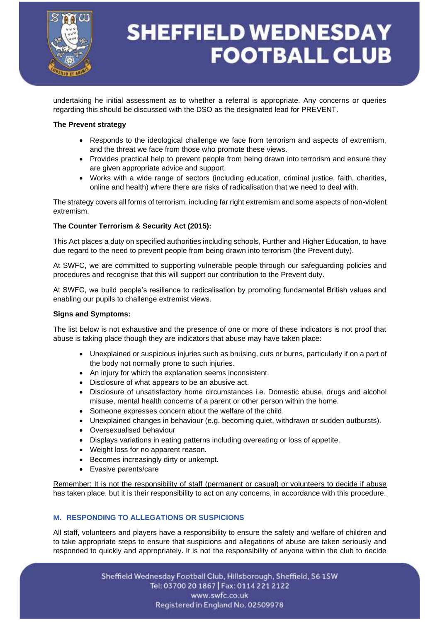

undertaking he initial assessment as to whether a referral is appropriate. Any concerns or queries regarding this should be discussed with the DSO as the designated lead for PREVENT.

#### **The Prevent strategy**

- Responds to the ideological challenge we face from terrorism and aspects of extremism, and the threat we face from those who promote these views.
- Provides practical help to prevent people from being drawn into terrorism and ensure they are given appropriate advice and support.
- Works with a wide range of sectors (including education, criminal justice, faith, charities, online and health) where there are risks of radicalisation that we need to deal with.

The strategy covers all forms of terrorism, including far right extremism and some aspects of non-violent extremism.

#### **The Counter Terrorism & Security Act (2015):**

This Act places a duty on specified authorities including schools, Further and Higher Education, to have due regard to the need to prevent people from being drawn into terrorism (the Prevent duty).

At SWFC, we are committed to supporting vulnerable people through our safeguarding policies and procedures and recognise that this will support our contribution to the Prevent duty.

At SWFC, we build people's resilience to radicalisation by promoting fundamental British values and enabling our pupils to challenge extremist views.

#### **Signs and Symptoms:**

The list below is not exhaustive and the presence of one or more of these indicators is not proof that abuse is taking place though they are indicators that abuse may have taken place:

- Unexplained or suspicious injuries such as bruising, cuts or burns, particularly if on a part of the body not normally prone to such injuries.
- An injury for which the explanation seems inconsistent.
- Disclosure of what appears to be an abusive act.
- Disclosure of unsatisfactory home circumstances i.e. Domestic abuse, drugs and alcohol misuse, mental health concerns of a parent or other person within the home.
- Someone expresses concern about the welfare of the child.
- Unexplained changes in behaviour (e.g. becoming quiet, withdrawn or sudden outbursts).
- Oversexualised behaviour
- Displays variations in eating patterns including overeating or loss of appetite.
- Weight loss for no apparent reason.
- Becomes increasingly dirty or unkempt.
- Evasive parents/care

Remember: It is not the responsibility of staff (permanent or casual) or volunteers to decide if abuse has taken place, but it is their responsibility to act on any concerns, in accordance with this procedure.

#### **M. RESPONDING TO ALLEGATIONS OR SUSPICIONS**

All staff, volunteers and players have a responsibility to ensure the safety and welfare of children and to take appropriate steps to ensure that suspicions and allegations of abuse are taken seriously and responded to quickly and appropriately. It is not the responsibility of anyone within the club to decide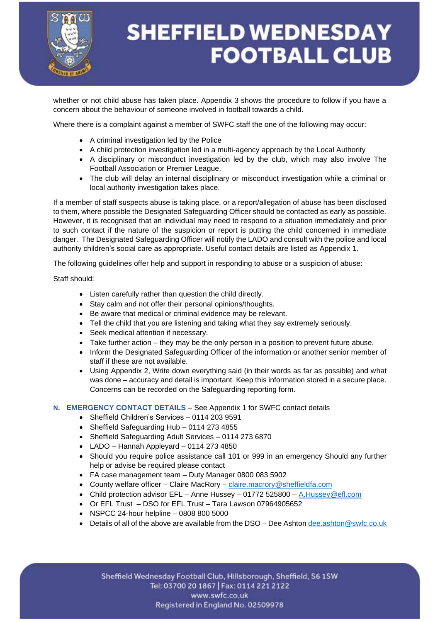

whether or not child abuse has taken place. Appendix 3 shows the procedure to follow if you have a concern about the behaviour of someone involved in football towards a child.

Where there is a complaint against a member of SWFC staff the one of the following may occur:

- A criminal investigation led by the Police
- A child protection investigation led in a multi-agency approach by the Local Authority
- A disciplinary or misconduct investigation led by the club, which may also involve The Football Association or Premier League.
- The club will delay an internal disciplinary or misconduct investigation while a criminal or local authority investigation takes place.

If a member of staff suspects abuse is taking place, or a report/allegation of abuse has been disclosed to them, where possible the Designated Safeguarding Officer should be contacted as early as possible. However, it is recognised that an individual may need to respond to a situation immediately and prior to such contact if the nature of the suspicion or report is putting the child concerned in immediate danger. The Designated Safeguarding Officer will notify the LADO and consult with the police and local authority children's social care as appropriate. Useful contact details are listed as Appendix 1.

The following guidelines offer help and support in responding to abuse or a suspicion of abuse:

Staff should:

- Listen carefully rather than question the child directly.
- Stay calm and not offer their personal opinions/thoughts.
- Be aware that medical or criminal evidence may be relevant.
- Tell the child that you are listening and taking what they say extremely seriously.
- Seek medical attention if necessary.
- Take further action they may be the only person in a position to prevent future abuse.
- Inform the Designated Safeguarding Officer of the information or another senior member of staff if these are not available.
- Using Appendix 2, Write down everything said (in their words as far as possible) and what was done – accuracy and detail is important. Keep this information stored in a secure place. Concerns can be recorded on the Safeguarding reporting form.

#### **N. EMERGENCY CONTACT DETAILS** – See Appendix 1 for SWFC contact details

- Sheffield Children's Services 0114 203 9591
- Sheffield Safeguarding Hub 0114 273 4855
- Sheffield Safeguarding Adult Services 0114 273 6870
- LADO Hannah Appleyard 0114 273 4850
- Should you require police assistance call 101 or 999 in an emergency Should any further help or advise be required please contact
- FA case management team Duty Manager 0800 083 5902
- County welfare officer Claire MacRory [claire.macrory@sheffieldfa.com](mailto:claire.macrory@sheffieldfa.com)
- Child protection advisor EFL Anne Hussey 01772 525800 [A.Hussey@efl.com](mailto:A.Hussey@efl.com)
- Or EFL Trust DSO for EFL Trust Tara Lawson 07964905652
- NSPCC 24-hour helpline 0808 800 5000
- Details of all of the above are available from the DSO Dee Ashton dee ashton  $@swtc.co.uk$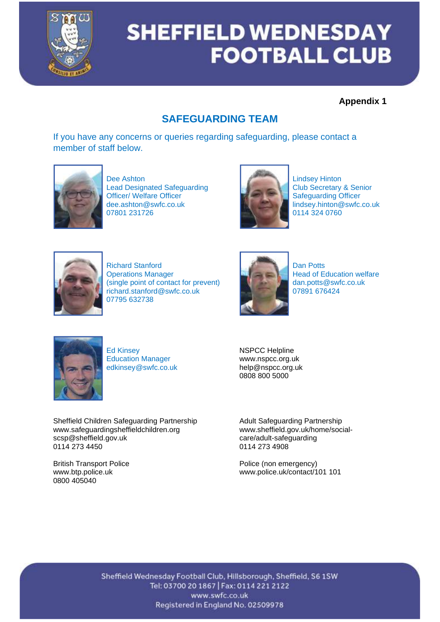

### **Appendix 1**

### **SAFEGUARDING TEAM**

If you have any concerns or queries regarding safeguarding, please contact a member of staff below.



Dee Ashton<br>Lead Designated Safeguarding<br>
Lindsey Hinton<br>
Club Secretary & Senior Lead Designated Safeguarding<br>
Officer/Welfare Officer<br>
Club Secretary & Senior Club Secretary & Senior Club Secretary & Senior Club Officer/ Welfare Officer<br>dee.ashton@swfc.co.uk dee.ashton@swfc.co.uk lindsey.hinton@swfc.co.uk<br>07801 231726 0114 324 0760



0114 324 0760



Richard Stanford **Dan Potts** Operations Manager<br>
(single point of contact for prevent)<br> **Example 1999** Head of Education welfare<br>
dan.potts@swfc.co.uk (single point of contact for prevent)<br>
richard.stanford@swfc.co.uk<br>
07891 676424  $richard.stanford@swfc.co.uk$ 07795 632738





Ed Kinsey NSPCC Helpline Education Manager www.nspcc.org.uk<br>edkinsey@swfc.co.uk help@nspcc.org.uk edkinsey@swfc.co.uk

Sheffield Children Safeguarding Partnership Adult Safeguarding Partnership www.safeguardingsheffieldchildren.org www.sheffield.gov.uk/home/socialscsp@sheffield.gov.uk care/adult-safeguarding<br>0114 273 4450 0114 273 4908

0800 405040

0808 800 5000

0114 273 4908

British Transport Police **Police Accord Police (non emergency)**<br>
www.btp.police.uk<br>
www.police.uk/contact/1 www.police.uk/contact/101 101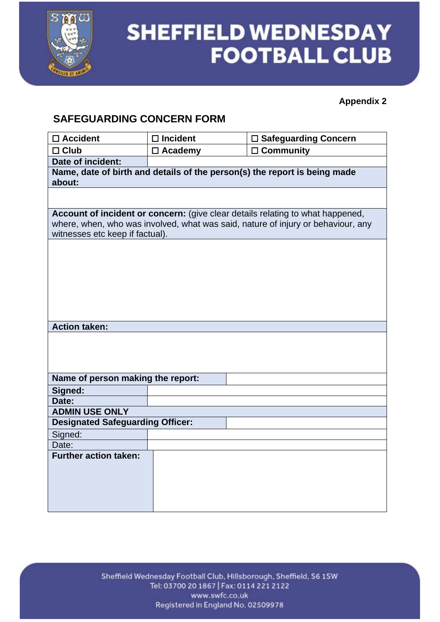

### **Appendix 2**

### **SAFEGUARDING CONCERN FORM**

| $\square$ Accident                      | $\Box$ Incident | □ Safeguarding Concern                                                           |  |  |
|-----------------------------------------|-----------------|----------------------------------------------------------------------------------|--|--|
| $\Box$ Club                             | $\Box$ Academy  | $\Box$ Community                                                                 |  |  |
| Date of incident:                       |                 |                                                                                  |  |  |
| about:                                  |                 | Name, date of birth and details of the person(s) the report is being made        |  |  |
|                                         |                 |                                                                                  |  |  |
|                                         |                 | Account of incident or concern: (give clear details relating to what happened,   |  |  |
|                                         |                 | where, when, who was involved, what was said, nature of injury or behaviour, any |  |  |
| witnesses etc keep if factual).         |                 |                                                                                  |  |  |
|                                         |                 |                                                                                  |  |  |
|                                         |                 |                                                                                  |  |  |
|                                         |                 |                                                                                  |  |  |
|                                         |                 |                                                                                  |  |  |
|                                         |                 |                                                                                  |  |  |
|                                         |                 |                                                                                  |  |  |
|                                         |                 |                                                                                  |  |  |
| <b>Action taken:</b>                    |                 |                                                                                  |  |  |
|                                         |                 |                                                                                  |  |  |
|                                         |                 |                                                                                  |  |  |
|                                         |                 |                                                                                  |  |  |
| Name of person making the report:       |                 |                                                                                  |  |  |
| Signed:                                 |                 |                                                                                  |  |  |
| Date:                                   |                 |                                                                                  |  |  |
| <b>ADMIN USE ONLY</b>                   |                 |                                                                                  |  |  |
| <b>Designated Safeguarding Officer:</b> |                 |                                                                                  |  |  |
| Signed:                                 |                 |                                                                                  |  |  |
| Date:                                   |                 |                                                                                  |  |  |
| <b>Further action taken:</b>            |                 |                                                                                  |  |  |
|                                         |                 |                                                                                  |  |  |
|                                         |                 |                                                                                  |  |  |
|                                         |                 |                                                                                  |  |  |
|                                         |                 |                                                                                  |  |  |